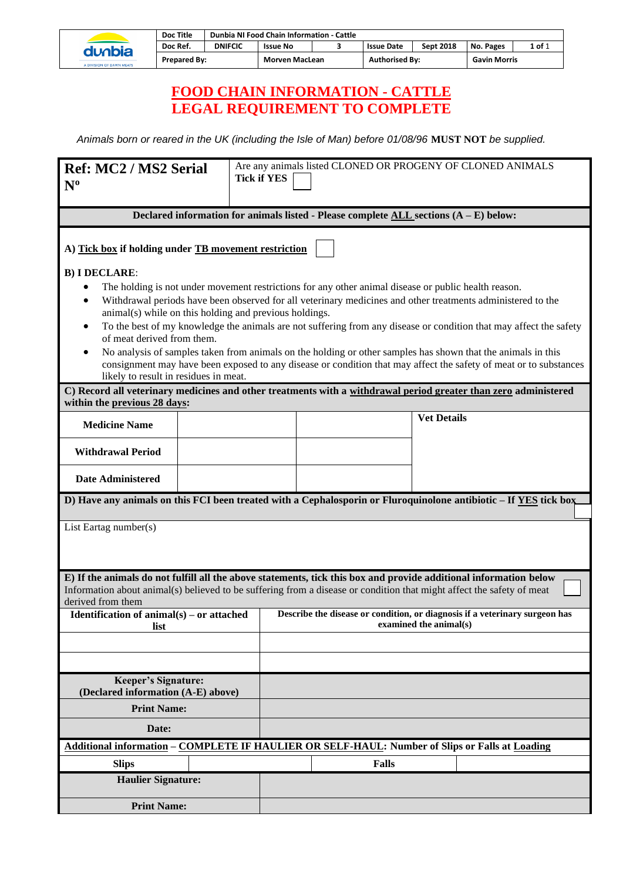|        |                          | <b>Doc Title</b> |                     | Dunbia NI Food Chain Information - Cattle |                       |                  |                       |        |                     |  |
|--------|--------------------------|------------------|---------------------|-------------------------------------------|-----------------------|------------------|-----------------------|--------|---------------------|--|
| dunbia | Doc Ref.                 | <b>DNIFCIC</b>   | <b>Issue No</b>     |                                           | <b>Issue Date</b>     | <b>Sept 2018</b> | No. Pages             | 1 of 1 |                     |  |
|        |                          |                  | <b>Prepared By:</b> |                                           | <b>Morven MacLean</b> |                  | <b>Authorised By:</b> |        | <b>Gavin Morris</b> |  |
|        | A DIVISION OF DAWN MEATS |                  |                     |                                           |                       |                  |                       |        |                     |  |

## **FOOD CHAIN INFORMATION - CATTLE LEGAL REQUIREMENT TO COMPLETE**

*Animals born or reared in the UK (including the Isle of Man) before 01/08/96* **MUST NOT** *be supplied.*

| <b>Ref: MC2 / MS2 Serial</b><br>$N^{\mathrm{o}}$                                                                                                                                                                                                                                                                                                                                                                                                                                                                                                                                                                                                                                                                                        |  | <b>Tick if YES</b>                                                                                    |              | Are any animals listed CLONED OR PROGENY OF CLONED ANIMALS                                                                                                                                                                                 |  |  |  |  |  |
|-----------------------------------------------------------------------------------------------------------------------------------------------------------------------------------------------------------------------------------------------------------------------------------------------------------------------------------------------------------------------------------------------------------------------------------------------------------------------------------------------------------------------------------------------------------------------------------------------------------------------------------------------------------------------------------------------------------------------------------------|--|-------------------------------------------------------------------------------------------------------|--------------|--------------------------------------------------------------------------------------------------------------------------------------------------------------------------------------------------------------------------------------------|--|--|--|--|--|
| Declared information for animals listed - Please complete ALL sections $(A - E)$ below:                                                                                                                                                                                                                                                                                                                                                                                                                                                                                                                                                                                                                                                 |  |                                                                                                       |              |                                                                                                                                                                                                                                            |  |  |  |  |  |
| A) Tick box if holding under TB movement restriction                                                                                                                                                                                                                                                                                                                                                                                                                                                                                                                                                                                                                                                                                    |  |                                                                                                       |              |                                                                                                                                                                                                                                            |  |  |  |  |  |
| <b>B) I DECLARE:</b><br>The holding is not under movement restrictions for any other animal disease or public health reason.<br>Withdrawal periods have been observed for all veterinary medicines and other treatments administered to the<br>animal(s) while on this holding and previous holdings.<br>To the best of my knowledge the animals are not suffering from any disease or condition that may affect the safety<br>of meat derived from them.<br>No analysis of samples taken from animals on the holding or other samples has shown that the animals in this<br>consignment may have been exposed to any disease or condition that may affect the safety of meat or to substances<br>likely to result in residues in meat. |  |                                                                                                       |              |                                                                                                                                                                                                                                            |  |  |  |  |  |
| C) Record all veterinary medicines and other treatments with a withdrawal period greater than zero administered<br>within the previous 28 days:                                                                                                                                                                                                                                                                                                                                                                                                                                                                                                                                                                                         |  |                                                                                                       |              |                                                                                                                                                                                                                                            |  |  |  |  |  |
| <b>Medicine Name</b>                                                                                                                                                                                                                                                                                                                                                                                                                                                                                                                                                                                                                                                                                                                    |  |                                                                                                       |              | <b>Vet Details</b>                                                                                                                                                                                                                         |  |  |  |  |  |
| <b>Withdrawal Period</b>                                                                                                                                                                                                                                                                                                                                                                                                                                                                                                                                                                                                                                                                                                                |  |                                                                                                       |              |                                                                                                                                                                                                                                            |  |  |  |  |  |
| <b>Date Administered</b>                                                                                                                                                                                                                                                                                                                                                                                                                                                                                                                                                                                                                                                                                                                |  |                                                                                                       |              |                                                                                                                                                                                                                                            |  |  |  |  |  |
|                                                                                                                                                                                                                                                                                                                                                                                                                                                                                                                                                                                                                                                                                                                                         |  |                                                                                                       |              | D) Have any animals on this FCI been treated with a Cephalosporin or Fluroquinolone antibiotic - If YES tick box                                                                                                                           |  |  |  |  |  |
| List Eartag number(s)                                                                                                                                                                                                                                                                                                                                                                                                                                                                                                                                                                                                                                                                                                                   |  |                                                                                                       |              |                                                                                                                                                                                                                                            |  |  |  |  |  |
| derived from them                                                                                                                                                                                                                                                                                                                                                                                                                                                                                                                                                                                                                                                                                                                       |  |                                                                                                       |              | E) If the animals do not fulfill all the above statements, tick this box and provide additional information below<br>Information about animal(s) believed to be suffering from a disease or condition that might affect the safety of meat |  |  |  |  |  |
| Identification of $animal(s) - or$ attached<br>list                                                                                                                                                                                                                                                                                                                                                                                                                                                                                                                                                                                                                                                                                     |  | Describe the disease or condition, or diagnosis if a veterinary surgeon has<br>examined the animal(s) |              |                                                                                                                                                                                                                                            |  |  |  |  |  |
|                                                                                                                                                                                                                                                                                                                                                                                                                                                                                                                                                                                                                                                                                                                                         |  |                                                                                                       |              |                                                                                                                                                                                                                                            |  |  |  |  |  |
|                                                                                                                                                                                                                                                                                                                                                                                                                                                                                                                                                                                                                                                                                                                                         |  |                                                                                                       |              |                                                                                                                                                                                                                                            |  |  |  |  |  |
| <b>Keeper's Signature:</b><br>(Declared information (A-E) above)                                                                                                                                                                                                                                                                                                                                                                                                                                                                                                                                                                                                                                                                        |  |                                                                                                       |              |                                                                                                                                                                                                                                            |  |  |  |  |  |
| <b>Print Name:</b>                                                                                                                                                                                                                                                                                                                                                                                                                                                                                                                                                                                                                                                                                                                      |  |                                                                                                       |              |                                                                                                                                                                                                                                            |  |  |  |  |  |
| Date:                                                                                                                                                                                                                                                                                                                                                                                                                                                                                                                                                                                                                                                                                                                                   |  |                                                                                                       |              |                                                                                                                                                                                                                                            |  |  |  |  |  |
|                                                                                                                                                                                                                                                                                                                                                                                                                                                                                                                                                                                                                                                                                                                                         |  |                                                                                                       |              | <b>Additional information - COMPLETE IF HAULIER OR SELF-HAUL: Number of Slips or Falls at Loading</b>                                                                                                                                      |  |  |  |  |  |
| <b>Slips</b><br><b>Haulier Signature:</b>                                                                                                                                                                                                                                                                                                                                                                                                                                                                                                                                                                                                                                                                                               |  |                                                                                                       | <b>Falls</b> |                                                                                                                                                                                                                                            |  |  |  |  |  |
|                                                                                                                                                                                                                                                                                                                                                                                                                                                                                                                                                                                                                                                                                                                                         |  |                                                                                                       |              |                                                                                                                                                                                                                                            |  |  |  |  |  |
| <b>Print Name:</b>                                                                                                                                                                                                                                                                                                                                                                                                                                                                                                                                                                                                                                                                                                                      |  |                                                                                                       |              |                                                                                                                                                                                                                                            |  |  |  |  |  |